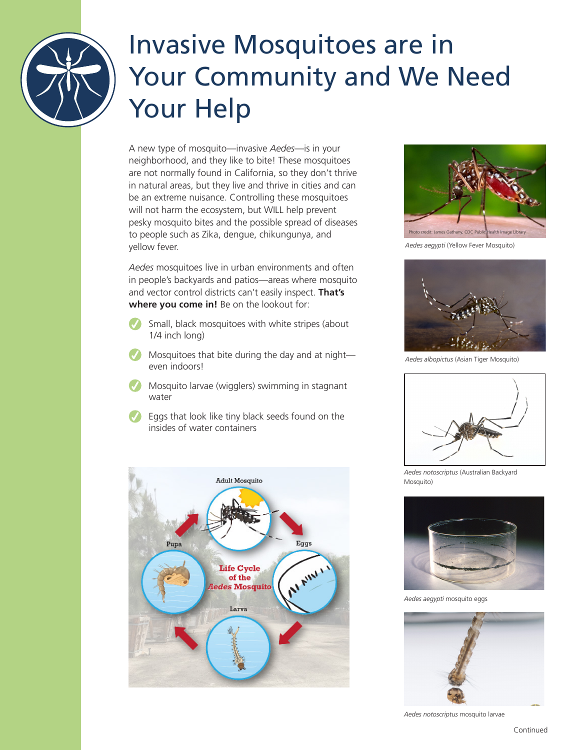

# Invasive Mosquitoes are in Your Community and We Need Your Help

A new type of mosquito—invasive *Aedes*—is in your neighborhood, and they like to bite! These mosquitoes are not normally found in California, so they don't thrive in natural areas, but they live and thrive in cities and can be an extreme nuisance. Controlling these mosquitoes will not harm the ecosystem, but WILL help prevent pesky mosquito bites and the possible spread of diseases to people such as Zika, dengue, chikungunya, and yellow fever.

*Aedes* mosquitoes live in urban environments and often in people's backyards and patios—areas where mosquito and vector control districts can't easily inspect. **That's where you come in!** Be on the lookout for:

- Small, black mosquitoes with white stripes (about 1/4 inch long)
- Mosquitoes that bite during the day and at night even indoors!
- Mosquito larvae (wigglers) swimming in stagnant water
- Eggs that look like tiny black seeds found on the insides of water containers





*Aedes aegypti* (Yellow Fever Mosquito)



*Aedes albopictus* (Asian Tiger Mosquito)



*Aedes notoscriptus* (Australian Backyard Mosquito)



*Aedes aegypti* mosquito eggs



*Aedes notoscriptus* mosquito larvae